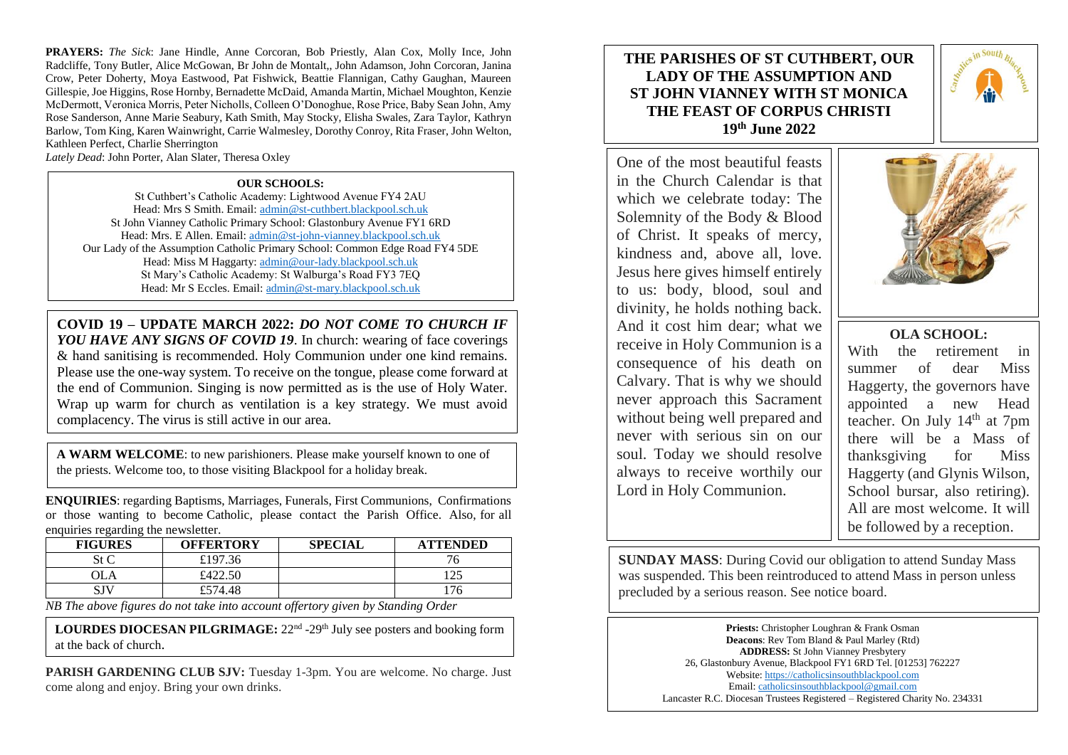**PRAYERS:** *The Sick*: Jane Hindle, Anne Corcoran, Bob Priestly, Alan Cox, Molly Ince, John Radcliffe, Tony Butler, Alice McGowan, Br John de Montalt,, John Adamson, John Corcoran, Janina Crow, Peter Doherty, Moya Eastwood, Pat Fishwick, Beattie Flannigan, Cathy Gaughan, Maureen Gillespie, Joe Higgins, Rose Hornby, Bernadette McDaid, Amanda Martin, Michael Moughton, Kenzie McDermott, Veronica Morris, Peter Nicholls, Colleen O'Donoghue, Rose Price, Baby Sean John, Amy Rose Sanderson, Anne Marie Seabury, Kath Smith, May Stocky, Elisha Swales, Zara Taylor, Kathryn Barlow, Tom King, Karen Wainwright, Carrie Walmesley, Dorothy Conroy, Rita Fraser, John Welton, Kathleen Perfect, Charlie Sherrington

*Lately Dead*: John Porter, Alan Slater, Theresa Oxley

### **OUR SCHOOLS:**

St Cuthbert's Catholic Academy: Lightwood Avenue FY4 2AU Head: Mrs S Smith. Email: [admin@st-cuthbert.blackpool.sch.uk](mailto:admin@st-cuthbert.blackpool.sch.uk) St John Vianney Catholic Primary School: Glastonbury Avenue FY1 6RD Head: Mrs. E Allen. Email[: admin@st-john-vianney.blackpool.sch.uk](mailto:admin@st-john-vianney.blackpool.sch.uk) Our Lady of the Assumption Catholic Primary School: Common Edge Road FY4 5DE Head: Miss M Haggarty: [admin@our-lady.blackpool.sch.uk](mailto:admin@our-lady.blackpool.sch.uk) St Mary's Catholic Academy: St Walburga's Road FY3 7EQ Head: Mr S Eccles. Email: [admin@st-mary.blackpool.sch.uk](mailto:admin@st-mary.blackpool.sch.uk)

**COVID 19 – UPDATE MARCH 2022:** *DO NOT COME TO CHURCH IF YOU HAVE ANY SIGNS OF COVID 19*. In church: wearing of face coverings & hand sanitising is recommended. Holy Communion under one kind remains. Please use the one-way system. To receive on the tongue, please come forward at the end of Communion. Singing is now permitted as is the use of Holy Water. Wrap up warm for church as ventilation is a key strategy. We must avoid complacency. The virus is still active in our area.

**A WARM WELCOME**: to new parishioners. Please make yourself known to one of the priests. Welcome too, to those visiting Blackpool for a holiday break.

**ENQUIRIES**: regarding Baptisms, Marriages, Funerals, First Communions, Confirmations or those wanting to become Catholic, please contact the Parish Office. Also, for all enquiries regarding the newsletter.

| <b>FIGURES</b> | <b>OFFERTORY</b> | <b>SPECIAL</b> | <b>ATTENDED</b> |
|----------------|------------------|----------------|-----------------|
| St C           | £197.36          |                | ' b             |
| ЭLA            | £422.50          |                | 25              |
| SJV            | £574.48          |                | 76              |

*NB The above figures do not take into account offertory given by Standing Order* 

LOURDES DIOCESAN PILGRIMAGE: 22<sup>nd</sup> -29<sup>th</sup> July see posters and booking form at the back of church.

**PARISH GARDENING CLUB SJV:** Tuesday 1-3pm. You are welcome. No charge. Just come along and enjoy. Bring your own drinks.

# **THE PARISHES OF ST CUTHBERT, OUR LADY OF THE ASSUMPTION AND ST JOHN VIANNEY WITH ST MONICA THE FEAST OF CORPUS CHRISTI 19th June 2022**

One of the most beautiful feasts in the Church Calendar is that which we celebrate today: The Solemnity of the Body & Blood of Christ. It speaks of mercy, kindness and, above all, love. Jesus here gives himself entirely to us: body, blood, soul and divinity, he holds nothing back. And it cost him dear; what we receive in Holy Communion is a consequence of his death on Calvary. That is why we should never approach this Sacrament without being well prepared and never with serious sin on our soul. Today we should resolve always to receive worthily our Lord in Holy Communion.





## **OLA SCHOOL:**

With the retirement in summer of dear Miss Haggerty, the governors have appointed a new Head teacher. On July 14<sup>th</sup> at 7pm there will be a Mass of thanksgiving for Miss Haggerty (and Glynis Wilson, School bursar, also retiring). All are most welcome. It will be followed by a reception.

**SUNDAY MASS**: During Covid our obligation to attend Sunday Mass was suspended. This been reintroduced to attend Mass in person unless precluded by a serious reason. See notice board.

> **Priests:** Christopher Loughran & Frank Osman **Deacons**: Rev Tom Bland & Paul Marley (Rtd) **ADDRESS:** St John Vianney Presbytery 26, Glastonbury Avenue, Blackpool FY1 6RD Tel. [01253] 762227 Website[: https://catholicsinsouthblackpool.com](https://catholicsinsouthblackpool.com/) Email[: catholicsinsouthblackpool@gmail.com](mailto:catholicsinsouthblackpool@gmail.com) Lancaster R.C. Diocesan Trustees Registered – Registered Charity No. 234331